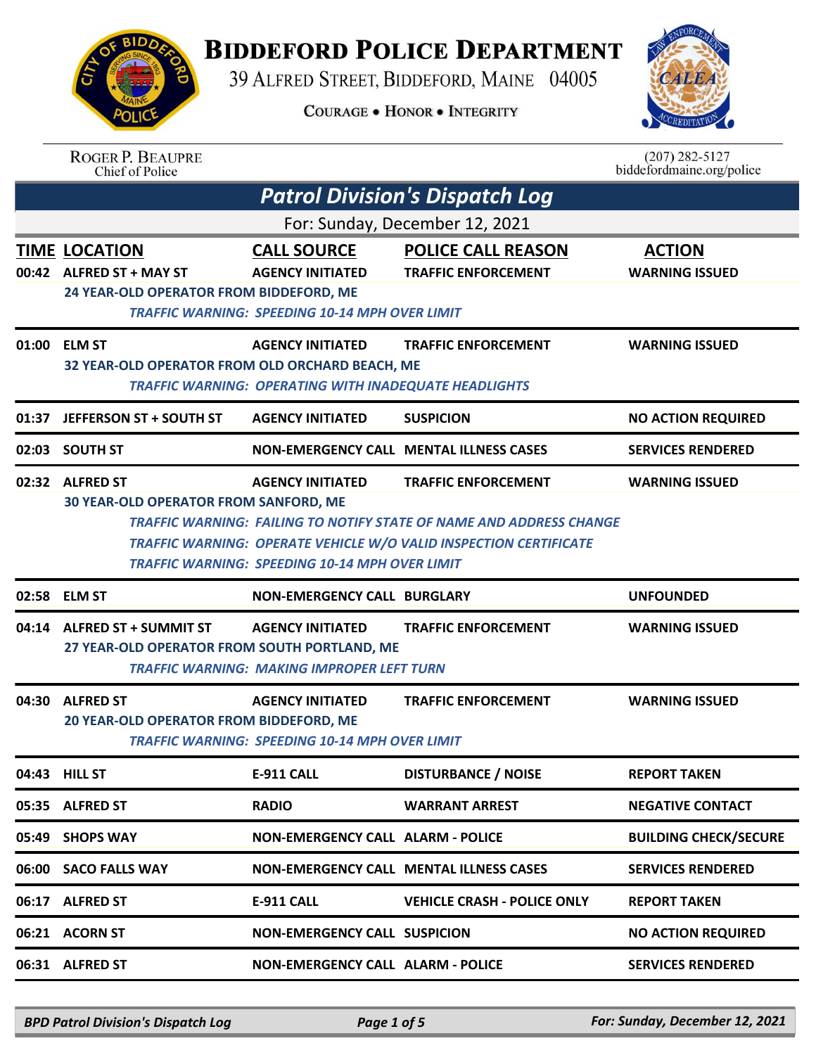## **BIDDEFORD POLICE DEPARTMENT**

39 ALFRED STREET, BIDDEFORD, MAINE 04005

**COURAGE . HONOR . INTEGRITY** 



|       | <b>ROGER P. BEAUPRE</b><br>Chief of Police                                                  |                                                                                                        |                                                                                                                                                                                      | $(207)$ 282-5127<br>biddefordmaine.org/police |  |  |
|-------|---------------------------------------------------------------------------------------------|--------------------------------------------------------------------------------------------------------|--------------------------------------------------------------------------------------------------------------------------------------------------------------------------------------|-----------------------------------------------|--|--|
|       |                                                                                             |                                                                                                        | <b>Patrol Division's Dispatch Log</b>                                                                                                                                                |                                               |  |  |
|       | For: Sunday, December 12, 2021                                                              |                                                                                                        |                                                                                                                                                                                      |                                               |  |  |
|       | <b>TIME LOCATION</b><br>00:42 ALFRED ST + MAY ST<br>24 YEAR-OLD OPERATOR FROM BIDDEFORD, ME | <b>CALL SOURCE</b><br><b>AGENCY INITIATED</b><br><b>TRAFFIC WARNING: SPEEDING 10-14 MPH OVER LIMIT</b> | <b>POLICE CALL REASON</b><br><b>TRAFFIC ENFORCEMENT</b>                                                                                                                              | <b>ACTION</b><br><b>WARNING ISSUED</b>        |  |  |
|       | 01:00 ELM ST<br>32 YEAR-OLD OPERATOR FROM OLD ORCHARD BEACH, ME                             | <b>AGENCY INITIATED</b><br><b>TRAFFIC WARNING: OPERATING WITH INADEQUATE HEADLIGHTS</b>                | <b>TRAFFIC ENFORCEMENT</b>                                                                                                                                                           | <b>WARNING ISSUED</b>                         |  |  |
| 01:37 | <b>JEFFERSON ST + SOUTH ST</b>                                                              | <b>AGENCY INITIATED</b>                                                                                | <b>SUSPICION</b>                                                                                                                                                                     | <b>NO ACTION REQUIRED</b>                     |  |  |
|       | 02:03 SOUTH ST                                                                              |                                                                                                        | <b>NON-EMERGENCY CALL MENTAL ILLNESS CASES</b>                                                                                                                                       | <b>SERVICES RENDERED</b>                      |  |  |
|       | 02:32 ALFRED ST<br><b>30 YEAR-OLD OPERATOR FROM SANFORD, ME</b>                             | <b>AGENCY INITIATED</b><br><b>TRAFFIC WARNING: SPEEDING 10-14 MPH OVER LIMIT</b>                       | <b>TRAFFIC ENFORCEMENT</b><br><b>TRAFFIC WARNING: FAILING TO NOTIFY STATE OF NAME AND ADDRESS CHANGE</b><br><b>TRAFFIC WARNING: OPERATE VEHICLE W/O VALID INSPECTION CERTIFICATE</b> | <b>WARNING ISSUED</b>                         |  |  |
| 02:58 | <b>ELM ST</b>                                                                               | <b>NON-EMERGENCY CALL BURGLARY</b>                                                                     |                                                                                                                                                                                      | <b>UNFOUNDED</b>                              |  |  |
|       | 04:14 ALFRED ST + SUMMIT ST<br>27 YEAR-OLD OPERATOR FROM SOUTH PORTLAND, ME                 | <b>AGENCY INITIATED</b><br><b>TRAFFIC WARNING: MAKING IMPROPER LEFT TURN</b>                           | <b>TRAFFIC ENFORCEMENT</b>                                                                                                                                                           | <b>WARNING ISSUED</b>                         |  |  |
| 04:30 | <b>ALFRED ST</b><br>20 YEAR-OLD OPERATOR FROM BIDDEFORD, ME                                 | <b>AGENCY INITIATED</b><br><b>TRAFFIC WARNING: SPEEDING 10-14 MPH OVER LIMIT</b>                       | <b>TRAFFIC ENFORCEMENT</b>                                                                                                                                                           | <b>WARNING ISSUED</b>                         |  |  |
|       | 04:43 HILL ST                                                                               | <b>E-911 CALL</b>                                                                                      | <b>DISTURBANCE / NOISE</b>                                                                                                                                                           | <b>REPORT TAKEN</b>                           |  |  |
|       | 05:35 ALFRED ST                                                                             | <b>RADIO</b>                                                                                           | <b>WARRANT ARREST</b>                                                                                                                                                                | <b>NEGATIVE CONTACT</b>                       |  |  |
| 05:49 | <b>SHOPS WAY</b>                                                                            | <b>NON-EMERGENCY CALL ALARM - POLICE</b>                                                               |                                                                                                                                                                                      | <b>BUILDING CHECK/SECURE</b>                  |  |  |
|       | 06:00 SACO FALLS WAY                                                                        |                                                                                                        | NON-EMERGENCY CALL MENTAL ILLNESS CASES                                                                                                                                              | <b>SERVICES RENDERED</b>                      |  |  |
| 06:17 | <b>ALFRED ST</b>                                                                            | <b>E-911 CALL</b>                                                                                      | <b>VEHICLE CRASH - POLICE ONLY</b>                                                                                                                                                   | <b>REPORT TAKEN</b>                           |  |  |
| 06:21 | <b>ACORN ST</b>                                                                             | <b>NON-EMERGENCY CALL SUSPICION</b>                                                                    |                                                                                                                                                                                      | <b>NO ACTION REQUIRED</b>                     |  |  |
|       | 06:31 ALFRED ST                                                                             | <b>NON-EMERGENCY CALL ALARM - POLICE</b>                                                               |                                                                                                                                                                                      | <b>SERVICES RENDERED</b>                      |  |  |
|       |                                                                                             |                                                                                                        |                                                                                                                                                                                      |                                               |  |  |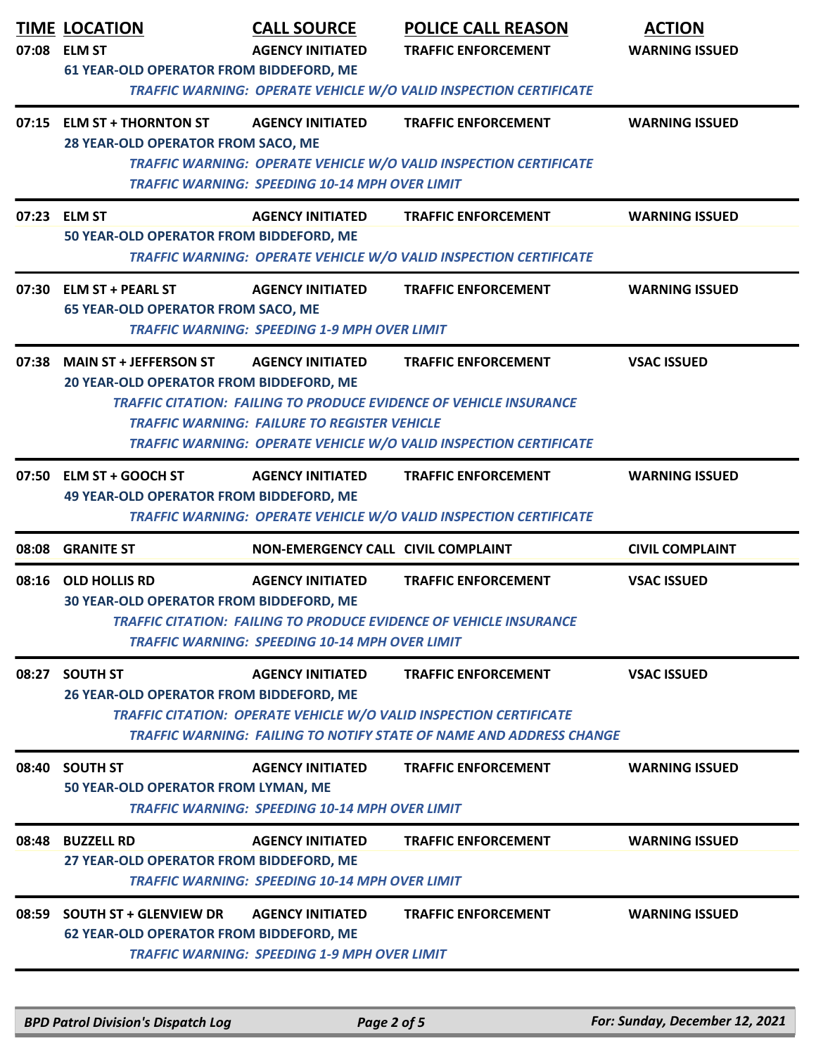| 07:23 ELM ST | 07:15 ELM ST + THORNTON ST<br>28 YEAR-OLD OPERATOR FROM SACO, ME<br>50 YEAR-OLD OPERATOR FROM BIDDEFORD, ME<br>07:30 ELM ST + PEARL ST<br><b>65 YEAR-OLD OPERATOR FROM SACO, ME</b><br>07:38 MAIN ST + JEFFERSON ST<br>20 YEAR-OLD OPERATOR FROM BIDDEFORD, ME                      | <b>AGENCY INITIATED</b><br><b>TRAFFIC WARNING: SPEEDING 10-14 MPH OVER LIMIT</b><br><b>AGENCY INITIATED</b><br><b>AGENCY INITIATED</b><br><b>TRAFFIC WARNING: SPEEDING 1-9 MPH OVER LIMIT</b><br><b>AGENCY INITIATED</b> | <b>TRAFFIC ENFORCEMENT</b><br>TRAFFIC WARNING: OPERATE VEHICLE W/O VALID INSPECTION CERTIFICATE<br><b>TRAFFIC ENFORCEMENT</b><br>TRAFFIC WARNING: OPERATE VEHICLE W/O VALID INSPECTION CERTIFICATE<br><b>TRAFFIC ENFORCEMENT</b> | <b>WARNING ISSUED</b><br><b>WARNING ISSUED</b><br><b>WARNING ISSUED</b> |  |
|--------------|-------------------------------------------------------------------------------------------------------------------------------------------------------------------------------------------------------------------------------------------------------------------------------------|--------------------------------------------------------------------------------------------------------------------------------------------------------------------------------------------------------------------------|----------------------------------------------------------------------------------------------------------------------------------------------------------------------------------------------------------------------------------|-------------------------------------------------------------------------|--|
|              |                                                                                                                                                                                                                                                                                     |                                                                                                                                                                                                                          |                                                                                                                                                                                                                                  |                                                                         |  |
|              |                                                                                                                                                                                                                                                                                     |                                                                                                                                                                                                                          |                                                                                                                                                                                                                                  |                                                                         |  |
|              |                                                                                                                                                                                                                                                                                     |                                                                                                                                                                                                                          |                                                                                                                                                                                                                                  |                                                                         |  |
|              |                                                                                                                                                                                                                                                                                     | <b>TRAFFIC WARNING: FAILURE TO REGISTER VEHICLE</b>                                                                                                                                                                      | <b>TRAFFIC ENFORCEMENT</b><br><b>TRAFFIC CITATION: FAILING TO PRODUCE EVIDENCE OF VEHICLE INSURANCE</b><br>TRAFFIC WARNING: OPERATE VEHICLE W/O VALID INSPECTION CERTIFICATE                                                     | <b>VSAC ISSUED</b>                                                      |  |
|              | 07:50 ELM ST + GOOCH ST<br><b>49 YEAR-OLD OPERATOR FROM BIDDEFORD, ME</b>                                                                                                                                                                                                           | <b>AGENCY INITIATED</b>                                                                                                                                                                                                  | <b>TRAFFIC ENFORCEMENT</b><br>TRAFFIC WARNING: OPERATE VEHICLE W/O VALID INSPECTION CERTIFICATE                                                                                                                                  | <b>WARNING ISSUED</b>                                                   |  |
|              | 08:08 GRANITE ST                                                                                                                                                                                                                                                                    | NON-EMERGENCY CALL CIVIL COMPLAINT                                                                                                                                                                                       |                                                                                                                                                                                                                                  | <b>CIVIL COMPLAINT</b>                                                  |  |
|              | 08:16 OLD HOLLIS RD<br><b>TRAFFIC ENFORCEMENT</b><br><b>VSAC ISSUED</b><br><b>AGENCY INITIATED</b><br><b>30 YEAR-OLD OPERATOR FROM BIDDEFORD, ME</b><br>TRAFFIC CITATION: FAILING TO PRODUCE EVIDENCE OF VEHICLE INSURANCE<br><b>TRAFFIC WARNING: SPEEDING 10-14 MPH OVER LIMIT</b> |                                                                                                                                                                                                                          |                                                                                                                                                                                                                                  |                                                                         |  |
|              | 08:27 SOUTH ST<br>26 YEAR-OLD OPERATOR FROM BIDDEFORD, ME                                                                                                                                                                                                                           | <b>AGENCY INITIATED</b>                                                                                                                                                                                                  | <b>TRAFFIC ENFORCEMENT</b><br><b>TRAFFIC CITATION: OPERATE VEHICLE W/O VALID INSPECTION CERTIFICATE</b><br>TRAFFIC WARNING: FAILING TO NOTIFY STATE OF NAME AND ADDRESS CHANGE                                                   | <b>VSAC ISSUED</b>                                                      |  |
|              | 08:40 SOUTH ST<br>50 YEAR-OLD OPERATOR FROM LYMAN, ME                                                                                                                                                                                                                               | <b>AGENCY INITIATED</b><br><b>TRAFFIC WARNING: SPEEDING 10-14 MPH OVER LIMIT</b>                                                                                                                                         | <b>TRAFFIC ENFORCEMENT</b>                                                                                                                                                                                                       | <b>WARNING ISSUED</b>                                                   |  |
|              | 08:48 BUZZELL RD<br>27 YEAR-OLD OPERATOR FROM BIDDEFORD, ME                                                                                                                                                                                                                         | <b>AGENCY INITIATED</b><br><b>TRAFFIC WARNING: SPEEDING 10-14 MPH OVER LIMIT</b>                                                                                                                                         | <b>TRAFFIC ENFORCEMENT</b>                                                                                                                                                                                                       | <b>WARNING ISSUED</b>                                                   |  |
|              | 08:59 SOUTH ST + GLENVIEW DR<br><b>62 YEAR-OLD OPERATOR FROM BIDDEFORD, ME</b>                                                                                                                                                                                                      | <b>AGENCY INITIATED</b><br><b>TRAFFIC WARNING: SPEEDING 1-9 MPH OVER LIMIT</b>                                                                                                                                           | <b>TRAFFIC ENFORCEMENT</b>                                                                                                                                                                                                       | <b>WARNING ISSUED</b>                                                   |  |

*BPD Patrol Division's Dispatch Log Page 2 of 5 For: Sunday, December 12, 2021*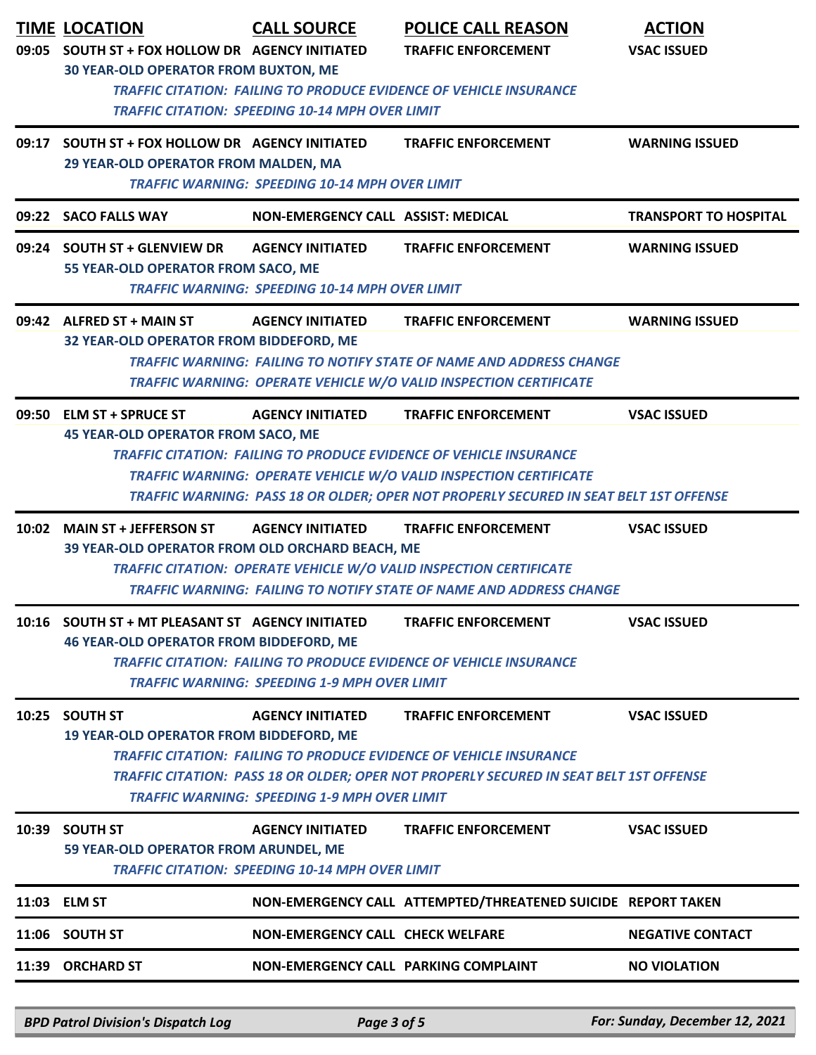|       | <b>TIME LOCATION</b><br>09:05 SOUTH ST + FOX HOLLOW DR AGENCY INITIATED                            | <b>CALL SOURCE</b>                                                                | <b>POLICE CALL REASON</b><br><b>TRAFFIC ENFORCEMENT</b>                                                                                                                                                                                                                      | <b>ACTION</b><br><b>VSAC ISSUED</b> |
|-------|----------------------------------------------------------------------------------------------------|-----------------------------------------------------------------------------------|------------------------------------------------------------------------------------------------------------------------------------------------------------------------------------------------------------------------------------------------------------------------------|-------------------------------------|
|       | <b>30 YEAR-OLD OPERATOR FROM BUXTON, ME</b>                                                        | <b>TRAFFIC CITATION: SPEEDING 10-14 MPH OVER LIMIT</b>                            | <b>TRAFFIC CITATION: FAILING TO PRODUCE EVIDENCE OF VEHICLE INSURANCE</b>                                                                                                                                                                                                    |                                     |
|       | 09:17 SOUTH ST + FOX HOLLOW DR AGENCY INITIATED<br>29 YEAR-OLD OPERATOR FROM MALDEN, MA            | <b>TRAFFIC WARNING: SPEEDING 10-14 MPH OVER LIMIT</b>                             | <b>TRAFFIC ENFORCEMENT</b>                                                                                                                                                                                                                                                   | <b>WARNING ISSUED</b>               |
|       | 09:22 SACO FALLS WAY                                                                               | NON-EMERGENCY CALL ASSIST: MEDICAL                                                |                                                                                                                                                                                                                                                                              | <b>TRANSPORT TO HOSPITAL</b>        |
|       | 09:24 SOUTH ST + GLENVIEW DR<br>55 YEAR-OLD OPERATOR FROM SACO, ME                                 | <b>AGENCY INITIATED</b><br><b>TRAFFIC WARNING: SPEEDING 10-14 MPH OVER LIMIT</b>  | <b>TRAFFIC ENFORCEMENT</b>                                                                                                                                                                                                                                                   | <b>WARNING ISSUED</b>               |
|       | 09:42 ALFRED ST + MAIN ST<br>32 YEAR-OLD OPERATOR FROM BIDDEFORD, ME                               | <b>AGENCY INITIATED</b>                                                           | <b>TRAFFIC ENFORCEMENT</b><br><b>TRAFFIC WARNING: FAILING TO NOTIFY STATE OF NAME AND ADDRESS CHANGE</b><br>TRAFFIC WARNING: OPERATE VEHICLE W/O VALID INSPECTION CERTIFICATE                                                                                                | <b>WARNING ISSUED</b>               |
|       | 09:50 ELM ST + SPRUCE ST<br><b>45 YEAR-OLD OPERATOR FROM SACO, ME</b>                              | <b>AGENCY INITIATED</b>                                                           | <b>TRAFFIC ENFORCEMENT</b><br><b>TRAFFIC CITATION: FAILING TO PRODUCE EVIDENCE OF VEHICLE INSURANCE</b><br><b>TRAFFIC WARNING: OPERATE VEHICLE W/O VALID INSPECTION CERTIFICATE</b><br>TRAFFIC WARNING: PASS 18 OR OLDER; OPER NOT PROPERLY SECURED IN SEAT BELT 1ST OFFENSE | <b>VSAC ISSUED</b>                  |
| 10:02 | <b>MAIN ST + JEFFERSON ST</b><br>39 YEAR-OLD OPERATOR FROM OLD ORCHARD BEACH, ME                   | <b>AGENCY INITIATED</b>                                                           | <b>TRAFFIC ENFORCEMENT</b><br>TRAFFIC CITATION: OPERATE VEHICLE W/O VALID INSPECTION CERTIFICATE<br><b>TRAFFIC WARNING: FAILING TO NOTIFY STATE OF NAME AND ADDRESS CHANGE</b>                                                                                               | <b>VSAC ISSUED</b>                  |
|       | 10:16 SOUTH ST + MT PLEASANT ST AGENCY INITIATED<br><b>46 YEAR-OLD OPERATOR FROM BIDDEFORD, ME</b> | <b>TRAFFIC WARNING: SPEEDING 1-9 MPH OVER LIMIT</b>                               | <b>TRAFFIC ENFORCEMENT</b><br><b>TRAFFIC CITATION: FAILING TO PRODUCE EVIDENCE OF VEHICLE INSURANCE</b>                                                                                                                                                                      | <b>VSAC ISSUED</b>                  |
| 10:25 | <b>SOUTH ST</b><br>19 YEAR-OLD OPERATOR FROM BIDDEFORD, ME                                         | <b>AGENCY INITIATED</b><br><b>TRAFFIC WARNING: SPEEDING 1-9 MPH OVER LIMIT</b>    | <b>TRAFFIC ENFORCEMENT</b><br><b>TRAFFIC CITATION: FAILING TO PRODUCE EVIDENCE OF VEHICLE INSURANCE</b><br>TRAFFIC CITATION: PASS 18 OR OLDER; OPER NOT PROPERLY SECURED IN SEAT BELT 1ST OFFENSE                                                                            | <b>VSAC ISSUED</b>                  |
|       | 10:39 SOUTH ST<br>59 YEAR-OLD OPERATOR FROM ARUNDEL, ME                                            | <b>AGENCY INITIATED</b><br><b>TRAFFIC CITATION: SPEEDING 10-14 MPH OVER LIMIT</b> | <b>TRAFFIC ENFORCEMENT</b>                                                                                                                                                                                                                                                   | <b>VSAC ISSUED</b>                  |
|       | 11:03 ELM ST                                                                                       |                                                                                   | NON-EMERGENCY CALL ATTEMPTED/THREATENED SUICIDE REPORT TAKEN                                                                                                                                                                                                                 |                                     |
|       | 11:06 SOUTH ST                                                                                     | <b>NON-EMERGENCY CALL CHECK WELFARE</b>                                           |                                                                                                                                                                                                                                                                              | <b>NEGATIVE CONTACT</b>             |
|       | 11:39 ORCHARD ST                                                                                   | NON-EMERGENCY CALL PARKING COMPLAINT                                              |                                                                                                                                                                                                                                                                              | <b>NO VIOLATION</b>                 |

*BPD Patrol Division's Dispatch Log Page 3 of 5 For: Sunday, December 12, 2021*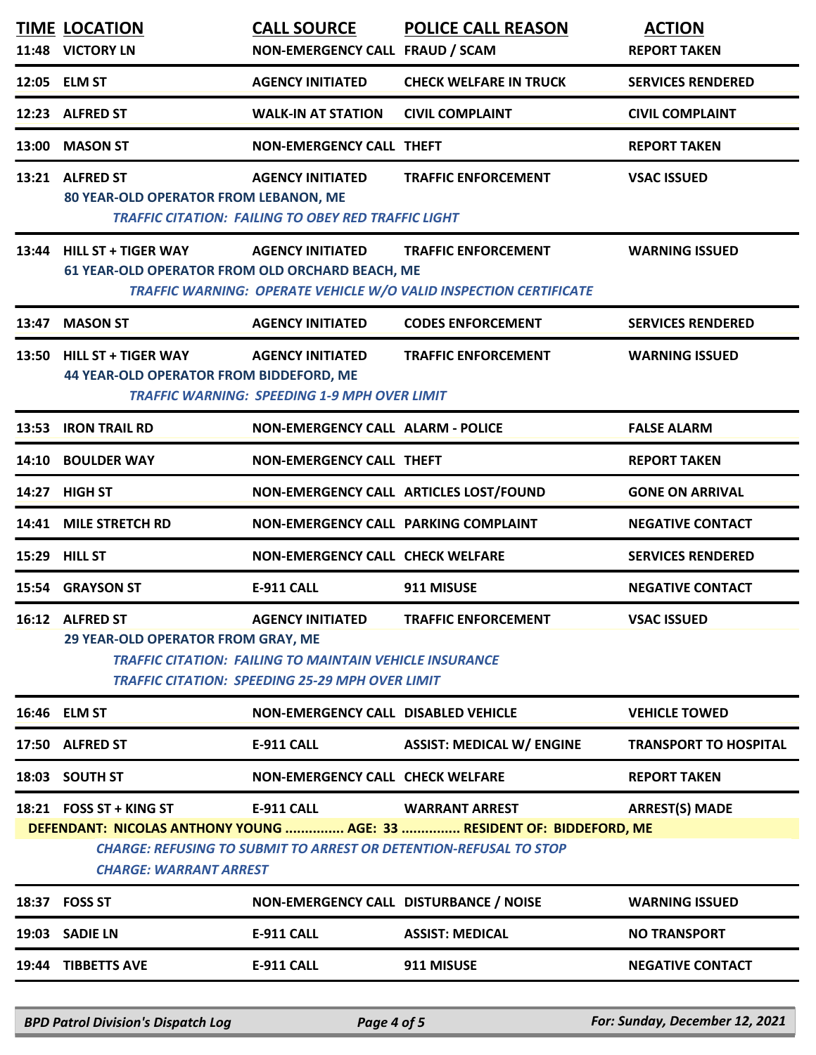|       | <b>TIME LOCATION</b><br>11:48 VICTORY LN                                      | <b>CALL SOURCE</b><br>NON-EMERGENCY CALL FRAUD / SCAM                                                                                               | <b>POLICE CALL REASON</b>                                                                                                                                                  | <b>ACTION</b><br><b>REPORT TAKEN</b> |
|-------|-------------------------------------------------------------------------------|-----------------------------------------------------------------------------------------------------------------------------------------------------|----------------------------------------------------------------------------------------------------------------------------------------------------------------------------|--------------------------------------|
|       | 12:05 ELM ST                                                                  | <b>AGENCY INITIATED</b>                                                                                                                             | <b>CHECK WELFARE IN TRUCK</b>                                                                                                                                              | <b>SERVICES RENDERED</b>             |
|       | 12:23 ALFRED ST                                                               | <b>WALK-IN AT STATION</b>                                                                                                                           | <b>CIVIL COMPLAINT</b>                                                                                                                                                     | <b>CIVIL COMPLAINT</b>               |
| 13:00 | <b>MASON ST</b>                                                               | <b>NON-EMERGENCY CALL THEFT</b>                                                                                                                     |                                                                                                                                                                            | <b>REPORT TAKEN</b>                  |
|       | 13:21 ALFRED ST<br>80 YEAR-OLD OPERATOR FROM LEBANON, ME                      | <b>AGENCY INITIATED</b><br><b>TRAFFIC CITATION: FAILING TO OBEY RED TRAFFIC LIGHT</b>                                                               | <b>TRAFFIC ENFORCEMENT</b>                                                                                                                                                 | <b>VSAC ISSUED</b>                   |
| 13:44 | <b>HILL ST + TIGER WAY</b><br>61 YEAR-OLD OPERATOR FROM OLD ORCHARD BEACH, ME | <b>AGENCY INITIATED</b>                                                                                                                             | <b>TRAFFIC ENFORCEMENT</b><br>TRAFFIC WARNING: OPERATE VEHICLE W/O VALID INSPECTION CERTIFICATE                                                                            | <b>WARNING ISSUED</b>                |
| 13:47 | <b>MASON ST</b>                                                               | <b>AGENCY INITIATED</b>                                                                                                                             | <b>CODES ENFORCEMENT</b>                                                                                                                                                   | <b>SERVICES RENDERED</b>             |
| 13:50 | <b>HILL ST + TIGER WAY</b><br><b>44 YEAR-OLD OPERATOR FROM BIDDEFORD, ME</b>  | <b>AGENCY INITIATED</b><br><b>TRAFFIC WARNING: SPEEDING 1-9 MPH OVER LIMIT</b>                                                                      | <b>TRAFFIC ENFORCEMENT</b>                                                                                                                                                 | <b>WARNING ISSUED</b>                |
| 13:53 | <b>IRON TRAIL RD</b>                                                          | <b>NON-EMERGENCY CALL ALARM - POLICE</b>                                                                                                            |                                                                                                                                                                            | <b>FALSE ALARM</b>                   |
| 14:10 | <b>BOULDER WAY</b>                                                            | <b>NON-EMERGENCY CALL THEFT</b>                                                                                                                     |                                                                                                                                                                            | <b>REPORT TAKEN</b>                  |
| 14:27 | <b>HIGH ST</b>                                                                | NON-EMERGENCY CALL ARTICLES LOST/FOUND                                                                                                              |                                                                                                                                                                            | <b>GONE ON ARRIVAL</b>               |
| 14:41 | <b>MILE STRETCH RD</b>                                                        | NON-EMERGENCY CALL PARKING COMPLAINT                                                                                                                |                                                                                                                                                                            | <b>NEGATIVE CONTACT</b>              |
| 15:29 | <b>HILL ST</b>                                                                | <b>NON-EMERGENCY CALL CHECK WELFARE</b>                                                                                                             |                                                                                                                                                                            | <b>SERVICES RENDERED</b>             |
|       | 15:54 GRAYSON ST                                                              | E-911 CALL                                                                                                                                          | 911 MISUSE                                                                                                                                                                 | <b>NEGATIVE CONTACT</b>              |
|       | 16:12 ALFRED ST<br>29 YEAR-OLD OPERATOR FROM GRAY, ME                         | <b>AGENCY INITIATED</b><br><b>TRAFFIC CITATION: FAILING TO MAINTAIN VEHICLE INSURANCE</b><br><b>TRAFFIC CITATION: SPEEDING 25-29 MPH OVER LIMIT</b> | <b>TRAFFIC ENFORCEMENT</b>                                                                                                                                                 | <b>VSAC ISSUED</b>                   |
| 16:46 | <b>ELM ST</b>                                                                 | <b>NON-EMERGENCY CALL DISABLED VEHICLE</b>                                                                                                          |                                                                                                                                                                            | <b>VEHICLE TOWED</b>                 |
| 17:50 | <b>ALFRED ST</b>                                                              | <b>E-911 CALL</b>                                                                                                                                   | <b>ASSIST: MEDICAL W/ ENGINE</b>                                                                                                                                           | <b>TRANSPORT TO HOSPITAL</b>         |
|       | 18:03 SOUTH ST                                                                | <b>NON-EMERGENCY CALL CHECK WELFARE</b>                                                                                                             |                                                                                                                                                                            | <b>REPORT TAKEN</b>                  |
|       | 18:21 FOSS ST + KING ST<br><b>CHARGE: WARRANT ARREST</b>                      | <b>E-911 CALL</b>                                                                                                                                   | <b>WARRANT ARREST</b><br>DEFENDANT: NICOLAS ANTHONY YOUNG  AGE: 33  RESIDENT OF: BIDDEFORD, ME<br><b>CHARGE: REFUSING TO SUBMIT TO ARREST OR DETENTION-REFUSAL TO STOP</b> | <b>ARREST(S) MADE</b>                |
| 18:37 | <b>FOSS ST</b>                                                                | NON-EMERGENCY CALL DISTURBANCE / NOISE                                                                                                              |                                                                                                                                                                            | <b>WARNING ISSUED</b>                |
| 19:03 | <b>SADIE LN</b>                                                               | <b>E-911 CALL</b>                                                                                                                                   | <b>ASSIST: MEDICAL</b>                                                                                                                                                     | <b>NO TRANSPORT</b>                  |
|       | 19:44 TIBBETTS AVE                                                            | <b>E-911 CALL</b>                                                                                                                                   | 911 MISUSE                                                                                                                                                                 | <b>NEGATIVE CONTACT</b>              |
|       |                                                                               |                                                                                                                                                     |                                                                                                                                                                            |                                      |

*BPD Patrol Division's Dispatch Log Page 4 of 5 For: Sunday, December 12, 2021*